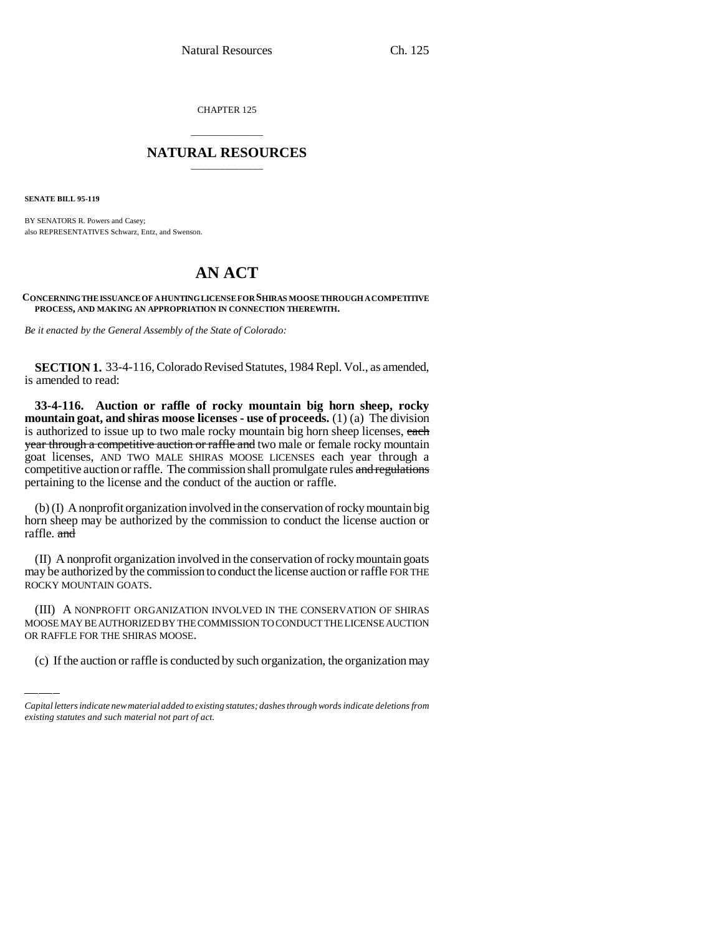CHAPTER 125

## \_\_\_\_\_\_\_\_\_\_\_\_\_\_\_ **NATURAL RESOURCES** \_\_\_\_\_\_\_\_\_\_\_\_\_\_\_

**SENATE BILL 95-119**

BY SENATORS R. Powers and Casey; also REPRESENTATIVES Schwarz, Entz, and Swenson.

## **AN ACT**

**CONCERNING THE ISSUANCE OF A HUNTING LICENSE FOR SHIRAS MOOSE THROUGH A COMPETITIVE PROCESS, AND MAKING AN APPROPRIATION IN CONNECTION THEREWITH.**

*Be it enacted by the General Assembly of the State of Colorado:*

**SECTION 1.** 33-4-116, Colorado Revised Statutes, 1984 Repl. Vol., as amended, is amended to read:

**33-4-116. Auction or raffle of rocky mountain big horn sheep, rocky mountain goat, and shiras moose licenses - use of proceeds.** (1) (a) The division is authorized to issue up to two male rocky mountain big horn sheep licenses, each year through a competitive auction or raffle and two male or female rocky mountain goat licenses, AND TWO MALE SHIRAS MOOSE LICENSES each year through a competitive auction or raffle. The commission shall promulgate rules and regulations pertaining to the license and the conduct of the auction or raffle.

(b) (I) A nonprofit organization involved in the conservation of rocky mountain big horn sheep may be authorized by the commission to conduct the license auction or raffle. and

(II) A nonprofit organization involved in the conservation of rocky mountain goats may be authorized by the commission to conduct the license auction or raffle FOR THE ROCKY MOUNTAIN GOATS.

(III) A NONPROFIT ORGANIZATION INVOLVED IN THE CONSERVATION OF SHIRAS MOOSE MAY BE AUTHORIZED BY THE COMMISSION TO CONDUCT THE LICENSE AUCTION OR RAFFLE FOR THE SHIRAS MOOSE.

(c) If the auction or raffle is conducted by such organization, the organization may

*Capital letters indicate new material added to existing statutes; dashes through words indicate deletions from existing statutes and such material not part of act.*